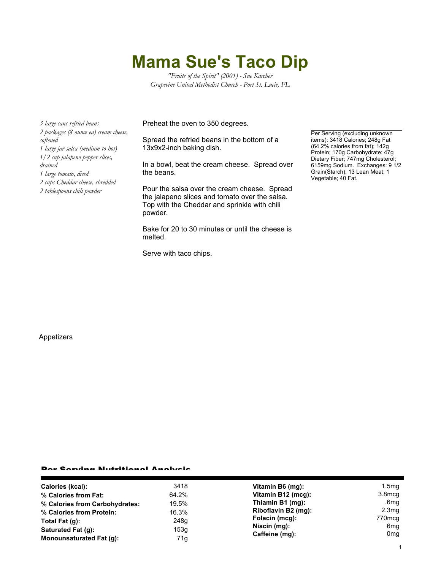## **Mama Sue's Taco Dip**

*"Fruits of the Spirit" (2001) - Sue Karcher Grapevine United Methodist Church - Port St. Lucie, FL*

*3 large cans refried beans 2 packages (8 ounce ea) cream cheese, softened 1 large jar salsa (medium to hot) 1/2 cup jalapeno pepper slices, drained 1 large tomato, diced 2 cups Cheddar cheese, shredded 2 tablespoons chili powder*

Preheat the oven to 350 degrees.

Spread the refried beans in the bottom of a 13x9x2-inch baking dish.

In a bowl, beat the cream cheese. Spread over the beans.

Pour the salsa over the cream cheese. Spread the jalapeno slices and tomato over the salsa. Top with the Cheddar and sprinkle with chili powder.

Bake for 20 to 30 minutes or until the cheese is melted.

Serve with taco chips.

Per Serving (excluding unknown items): 3418 Calories; 248g Fat (64.2% calories from fat); 142g Protein; 170g Carbohydrate; 47g Dietary Fiber; 747mg Cholesterol; 6159mg Sodium. Exchanges: 9 1/2 Grain(Starch); 13 Lean Meat; 1 Vegetable; 40 Fat.

Appetizers

## Per Serving Nutritional Analysis

| Calories (kcal):               | 3418  | Vitamin B6 (mg):                                 | 1.5 <sub>mg</sub>      |
|--------------------------------|-------|--------------------------------------------------|------------------------|
| % Calories from Fat:           | 64.2% | Vitamin B12 (mcg):                               | 3.8 <sub>mcq</sub>     |
| % Calories from Carbohydrates: | 19.5% | Thiamin B1 (mg):                                 | .6mg                   |
| % Calories from Protein:       | 16.3% | Riboflavin B2 (mg):                              | 2.3mg                  |
| Total Fat $(q)$ :              | 248g  | Folacin (mcg):<br>Niacin (mg):<br>Caffeine (mg): | 770mcg                 |
| Saturated Fat (g):             | 153g  |                                                  | 6mg<br>0 <sub>mg</sub> |
| Monounsaturated Fat (q):       | 71g   |                                                  |                        |